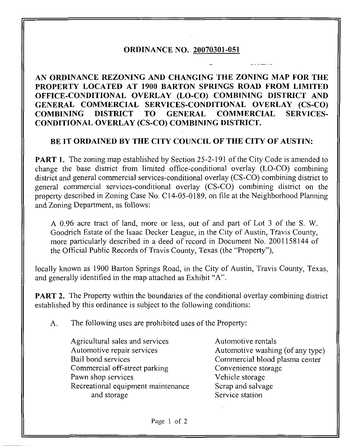## ORDINANCE NO. 20070301-051

AN ORDINANCE REZONING AND CHANGING THE ZONING MAP FOR THE PROPERTY LOCATED AT 1900 BARTON SPRINGS ROAD FROM LIMITED OFFICE-CONDITIONAL OVERLAY (LO-CO) COMBINING DISTRICT AND GENERAL COMMERCIAL SERVICES-CONDITIONAL OVERLAY (CS-CO) COMBINING DISTRICT TO GENERAL COMMERCIAL SERVICES-CONDITIONAL OVERLAY (CS-CO) COMBINING DISTRICT.

## BE IT ORDAINED BY THE CITY COUNCIL OF THE CITY OF AUSTIN:

**PART 1.** The zoning map established by Section 25-2-191 of the City Code is amended to change the base district from limited office-conditional overlay (LO-CO) combining district and general commercial services-conditional overlay (CS-CO) combining district to general commercial services-conditional overlay (CS-CO) combining district on the property described in Zoning Case No. C14-05-0189, on file at the Neighborhood Planning and Zoning Department, as follows:

A 0.96 acre tract of land, more or less, out of and part of Lot 3 of the S. W. Goodrich Estate of the Isaac Decker League, in the City of Austin, Tfavis County, more particularly described in a deed of record in Document No. 2001158144 of the Official Public Records of Travis County, Texas (the "Property"),

locally known as 1900 Barton Springs Road, in the City of Austin, Travis County, Texas, and generally identified in the map attached as Exhibit "A".

**PART 2.** The Property within the boundaries of the conditional overlay combining district established by this ordinance is subject to the following conditions:

A. The following uses are prohibited uses of the Property:

Agricultural sales and services Automotive rentals Automotive repair services Automotive washing (of any type) Bail bond services Commercial blood plasma center Commercial off-street parking Convenience storage Pawn shop services Vehicle storage Recreational equipment maintenance Scrap and salvage and storage Service station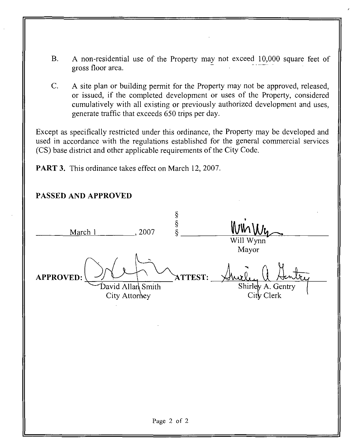- B. A non-residential use of the Property may not exceed 10,000 square feet of gross floor area. "
- C. A site plan or building permit for the Property may not be approved, released, or issued, if the completed development or uses of the Property, considered cumulatively with all existing or previously authorized development and uses, generate traffic that exceeds 650 trips per day.

Except as specifically restricted under this ordinance, the Property may be developed and used in accordance with the regulations established for the general commercial services (CS) base district and other applicable requirements of the City Code.

PART 3. This ordinance takes effect on March 12, 2007.

PASSED AND APPROVED S<br>S<br>S<br>S March 1 , 2007 Will Wynn Mayor APPROVED: V -</ ^ 7VTTEST: Shirley A. Gentry<br>City Clerk City Attorney

Page 2 of 2